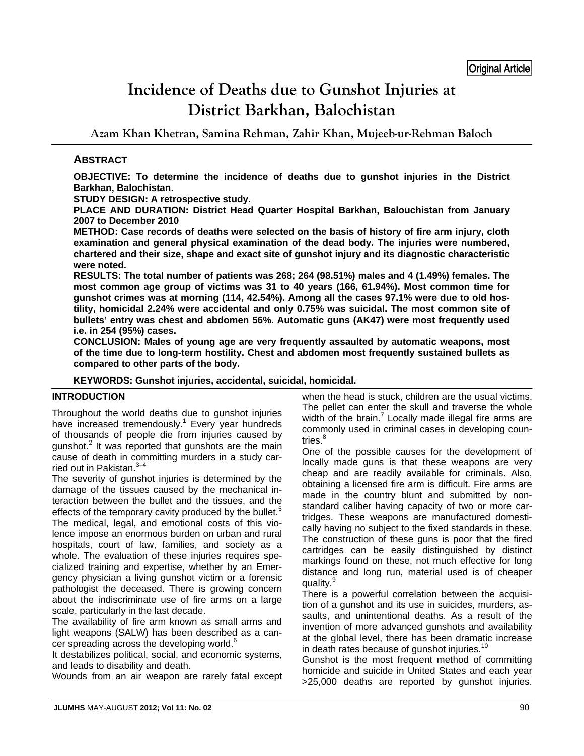# **Incidence of Deaths due to Gunshot Injuries at District Barkhan, Balochistan**

**Azam Khan Khetran, Samina Rehman, Zahir Khan, Mujeeb-ur-Rehman Baloch** 

## **ABSTRACT**

**OBJECTIVE: To determine the incidence of deaths due to gunshot injuries in the District Barkhan, Balochistan.** 

**STUDY DESIGN: A retrospective study.** 

**PLACE AND DURATION: District Head Quarter Hospital Barkhan, Balouchistan from January 2007 to December 2010** 

**METHOD: Case records of deaths were selected on the basis of history of fire arm injury, cloth examination and general physical examination of the dead body. The injuries were numbered, chartered and their size, shape and exact site of gunshot injury and its diagnostic characteristic were noted.** 

**RESULTS: The total number of patients was 268; 264 (98.51%) males and 4 (1.49%) females. The most common age group of victims was 31 to 40 years (166, 61.94%). Most common time for gunshot crimes was at morning (114, 42.54%). Among all the cases 97.1% were due to old hostility, homicidal 2.24% were accidental and only 0.75% was suicidal. The most common site of bullets' entry was chest and abdomen 56%. Automatic guns (AK47) were most frequently used i.e. in 254 (95%) cases.** 

**CONCLUSION: Males of young age are very frequently assaulted by automatic weapons, most of the time due to long-term hostility. Chest and abdomen most frequently sustained bullets as compared to other parts of the body.** 

**KEYWORDS: Gunshot injuries, accidental, suicidal, homicidal.** 

#### **INTRODUCTION**

Throughout the world deaths due to gunshot injuries have increased tremendously.<sup>1</sup> Every year hundreds of thousands of people die from injuries caused by gunshot.<sup>2</sup> It was reported that gunshots are the main cause of death in committing murders in a study carried out in Pakistan.<sup>3-4</sup>

The severity of gunshot injuries is determined by the damage of the tissues caused by the mechanical interaction between the bullet and the tissues, and the effects of the temporary cavity produced by the bullet.<sup>5</sup> The medical, legal, and emotional costs of this violence impose an enormous burden on urban and rural hospitals, court of law, families, and society as a whole. The evaluation of these injuries requires specialized training and expertise, whether by an Emergency physician a living gunshot victim or a forensic pathologist the deceased. There is growing concern about the indiscriminate use of fire arms on a large scale, particularly in the last decade.

The availability of fire arm known as small arms and light weapons (SALW) has been described as a cancer spreading across the developing world. $6$ 

It destabilizes political, social, and economic systems, and leads to disability and death.

Wounds from an air weapon are rarely fatal except

when the head is stuck, children are the usual victims. The pellet can enter the skull and traverse the whole width of the brain.<sup>7</sup> Locally made illegal fire arms are commonly used in criminal cases in developing countries.<sup>8</sup>

One of the possible causes for the development of locally made guns is that these weapons are very cheap and are readily available for criminals. Also, obtaining a licensed fire arm is difficult. Fire arms are made in the country blunt and submitted by nonstandard caliber having capacity of two or more cartridges. These weapons are manufactured domestically having no subject to the fixed standards in these. The construction of these guns is poor that the fired cartridges can be easily distinguished by distinct markings found on these, not much effective for long distance and long run, material used is of cheaper quality.<sup>9</sup>

There is a powerful correlation between the acquisition of a gunshot and its use in suicides, murders, assaults, and unintentional deaths. As a result of the invention of more advanced gunshots and availability at the global level, there has been dramatic increase in death rates because of gunshot injuries. $10$ 

Gunshot is the most frequent method of committing homicide and suicide in United States and each year >25,000 deaths are reported by gunshot injuries.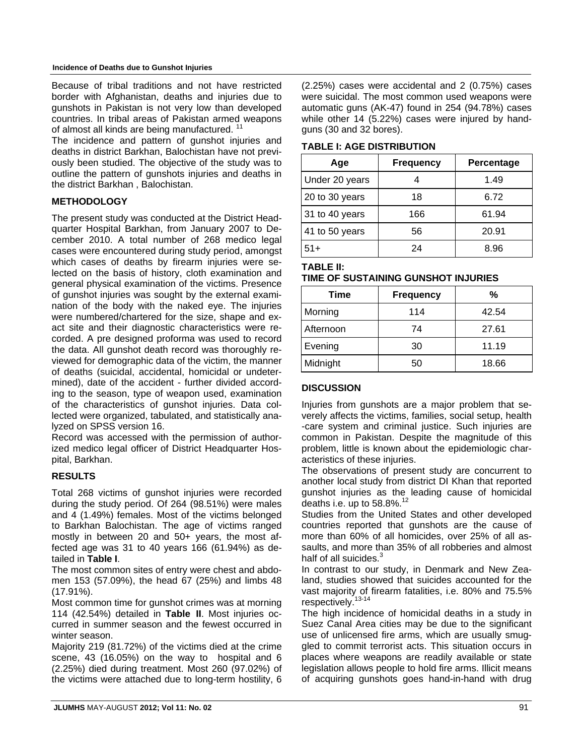Because of tribal traditions and not have restricted border with Afghanistan, deaths and injuries due to gunshots in Pakistan is not very low than developed countries. In tribal areas of Pakistan armed weapons of almost all kinds are being manufactured.<sup>11</sup>

The incidence and pattern of gunshot injuries and deaths in district Barkhan, Balochistan have not previously been studied. The objective of the study was to outline the pattern of gunshots injuries and deaths in the district Barkhan , Balochistan.

## **METHODOLOGY**

The present study was conducted at the District Headquarter Hospital Barkhan, from January 2007 to December 2010. A total number of 268 medico legal cases were encountered during study period, amongst which cases of deaths by firearm injuries were selected on the basis of history, cloth examination and general physical examination of the victims. Presence of gunshot injuries was sought by the external examination of the body with the naked eye. The injuries were numbered/chartered for the size, shape and exact site and their diagnostic characteristics were recorded. A pre designed proforma was used to record the data. All gunshot death record was thoroughly reviewed for demographic data of the victim, the manner of deaths (suicidal, accidental, homicidal or undetermined), date of the accident - further divided according to the season, type of weapon used, examination of the characteristics of gunshot injuries. Data collected were organized, tabulated, and statistically analyzed on SPSS version 16.

Record was accessed with the permission of authorized medico legal officer of District Headquarter Hospital, Barkhan.

#### **RESULTS**

Total 268 victims of gunshot injuries were recorded during the study period. Of 264 (98.51%) were males and 4 (1.49%) females. Most of the victims belonged to Barkhan Balochistan. The age of victims ranged mostly in between 20 and 50+ years, the most affected age was 31 to 40 years 166 (61.94%) as detailed in **Table I**.

The most common sites of entry were chest and abdomen 153 (57.09%), the head 67 (25%) and limbs 48 (17.91%).

Most common time for gunshot crimes was at morning 114 (42.54%) detailed in **Table II**. Most injuries occurred in summer season and the fewest occurred in winter season.

Majority 219 (81.72%) of the victims died at the crime scene, 43 (16.05%) on the way to hospital and 6 (2.25%) died during treatment. Most 260 (97.02%) of the victims were attached due to long-term hostility, 6

(2.25%) cases were accidental and 2 (0.75%) cases were suicidal. The most common used weapons were automatic guns (AK-47) found in 254 (94.78%) cases while other 14 (5.22%) cases were injured by handguns (30 and 32 bores).

**TABLE I: AGE DISTRIBUTION**

| Age            | <b>Frequency</b> | Percentage |
|----------------|------------------|------------|
| Under 20 years |                  | 1.49       |
| 20 to 30 years | 18               | 6.72       |
| 31 to 40 years | 166              | 61.94      |
| 41 to 50 years | 56               | 20.91      |
| $51+$          | 24               | 8.96       |

**TABLE II:** 

| .                                   |  |
|-------------------------------------|--|
| TIME OF SUSTAINING GUNSHOT INJURIES |  |

| Time      | <b>Frequency</b> | %     |
|-----------|------------------|-------|
| Morning   | 114              | 42.54 |
| Afternoon | 74               | 27.61 |
| Evening   | 30               | 11.19 |
| Midnight  | 50               | 18.66 |

#### **DISCUSSION**

Injuries from gunshots are a major problem that severely affects the victims, families, social setup, health -care system and criminal justice. Such injuries are common in Pakistan. Despite the magnitude of this problem, little is known about the epidemiologic characteristics of these injuries.

The observations of present study are concurrent to another local study from district DI Khan that reported gunshot injuries as the leading cause of homicidal deaths i.e. up to  $58.8\%$ <sup>12</sup>

Studies from the United States and other developed countries reported that gunshots are the cause of more than 60% of all homicides, over 25% of all assaults, and more than 35% of all robberies and almost half of all suicides. $3$ 

In contrast to our study, in Denmark and New Zealand, studies showed that suicides accounted for the vast majority of firearm fatalities, i.e. 80% and 75.5% respectively.13-14

The high incidence of homicidal deaths in a study in Suez Canal Area cities may be due to the significant use of unlicensed fire arms, which are usually smuggled to commit terrorist acts. This situation occurs in places where weapons are readily available or state legislation allows people to hold fire arms. Illicit means of acquiring gunshots goes hand-in-hand with drug